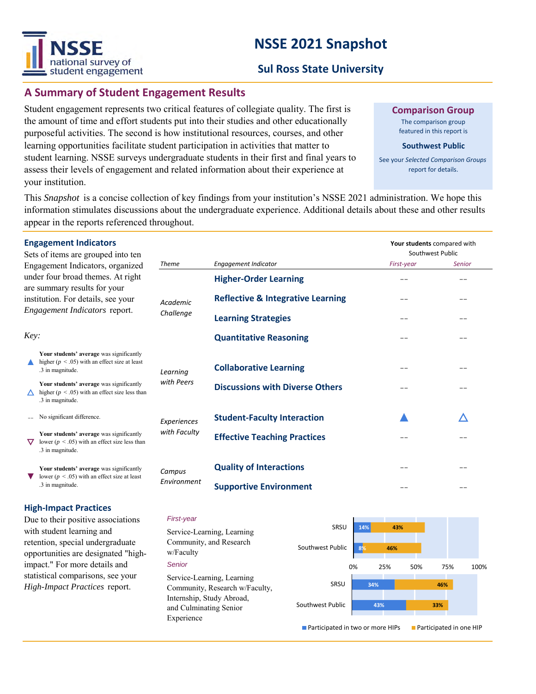# VSSF national survey of student engagement

# **NSSE 2021 Snapshot**

# **Sul Ross State University**

# **A Summary of Student Engagement Results**

Student engagement represents two critical features of collegiate quality. The first is the amount of time and effort students put into their studies and other educationally purposeful activities. The second is how institutional resources, courses, and other learning opportunities facilitate student participation in activities that matter to student learning. NSSE surveys undergraduate students in their first and final years to assess their levels of engagement and related information about their experience at your institution.

**Comparison Group**

The comparison group featured in this report is

#### **Southwest Public**

See your *Selected Comparison Groups*  report for details.

This *Snapshot* is a concise collection of key findings from your institution's NSSE 2021 administration. We hope this information stimulates discussions about the undergraduate experience. Additional details about these and other results appear in the reports referenced throughout.

|                                                                                                                                                                              | <b>Engagement Indicators</b><br>Sets of items are grouped into ten                                                 |                       |                                              | Your students compared with<br>Southwest Public |        |
|------------------------------------------------------------------------------------------------------------------------------------------------------------------------------|--------------------------------------------------------------------------------------------------------------------|-----------------------|----------------------------------------------|-------------------------------------------------|--------|
| Engagement Indicators, organized<br>under four broad themes. At right<br>are summary results for your<br>institution. For details, see your<br>Engagement Indicators report. |                                                                                                                    | <b>Theme</b>          | <b>Engagement Indicator</b>                  | First-year                                      | Senior |
|                                                                                                                                                                              |                                                                                                                    | Academic<br>Challenge | <b>Higher-Order Learning</b>                 | --                                              |        |
|                                                                                                                                                                              |                                                                                                                    |                       | <b>Reflective &amp; Integrative Learning</b> |                                                 |        |
|                                                                                                                                                                              |                                                                                                                    |                       | <b>Learning Strategies</b>                   |                                                 |        |
|                                                                                                                                                                              | Key:                                                                                                               |                       | <b>Quantitative Reasoning</b>                | --                                              | --     |
|                                                                                                                                                                              | Your students' average was significantly<br>higher ( $p < .05$ ) with an effect size at least<br>.3 in magnitude.  | Learning              | <b>Collaborative Learning</b>                | - -                                             |        |
|                                                                                                                                                                              | Your students' average was significantly<br>higher ( $p < .05$ ) with an effect size less than<br>.3 in magnitude. | with Peers            | <b>Discussions with Diverse Others</b>       |                                                 | --     |
|                                                                                                                                                                              | No significant difference.                                                                                         | Experiences           | <b>Student-Faculty Interaction</b>           |                                                 |        |
|                                                                                                                                                                              | Your students' average was significantly<br>lower ( $p < .05$ ) with an effect size less than<br>.3 in magnitude.  | with Faculty          | <b>Effective Teaching Practices</b>          |                                                 |        |
|                                                                                                                                                                              | Your students' average was significantly<br>lower ( $p < .05$ ) with an effect size at least<br>.3 in magnitude.   | Campus<br>Environment | <b>Quality of Interactions</b>               |                                                 |        |
|                                                                                                                                                                              |                                                                                                                    |                       | <b>Supportive Environment</b>                |                                                 | --     |

### **High-Impact Practices**

Due to their positive associations with student learning and retention, special undergraduate opportunities are designated "highimpact." For more details and statistical comparisons, see your *High-Impact Practices* report.

#### *First-year*

*Senior* Service-Learning, Learning Community, Research w/Faculty, Internship, Study Abroad, and Culminating Senior Experience Service-Learning, Learning Community, and Research w/Faculty



**Participated in two or more HIPs Participated in one HIP**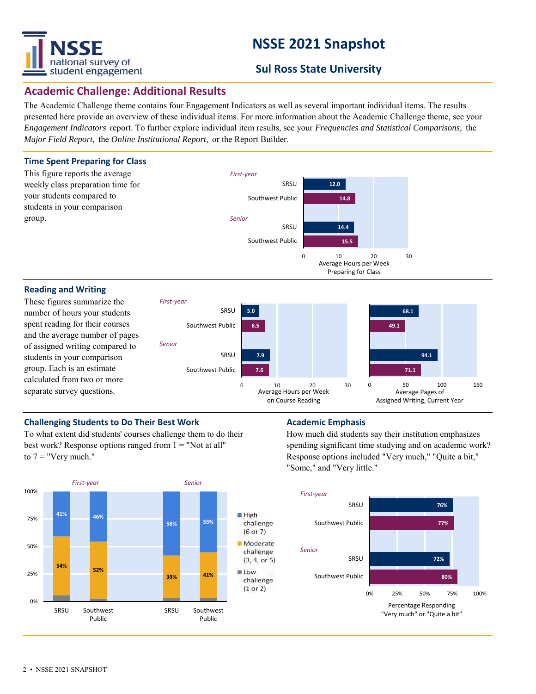

# **NSSE 2021 Snapshot**

# **Sul Ross State University**

## **Academic Challenge: Additional Results**

The Academic Challenge theme contains four Engagement Indicators as well as several important individual items. The results presented here provide an overview of these individual items. For more information about the Academic Challenge theme, see your *Engagement Indicators* report. To further explore individual item results, see your *Frequencies and Statistical Comparisons,* the *Major Field Report,* the *Online Institutional Report,* or the Report Builder.

# **Time Spent Preparing for Class**





#### **Reading and Writing**

These figures summarize the number of hours your students spent reading for their courses and the average number of pages of assigned writing compared to students in your comparison group. Each is an estimate calculated from two or more separate survey questions.



Preparing for Class

### **Challenging Students to Do Their Best Work <b>Academic Emphasis Academic Emphasis**

To what extent did students' courses challenge them to do their best work? Response options ranged from  $1 =$  "Not at all" to  $7 =$  "Very much."



How much did students say their institution emphasizes spending significant time studying and on academic work? Response options included "Very much," "Quite a bit," "Some," and "Very little."

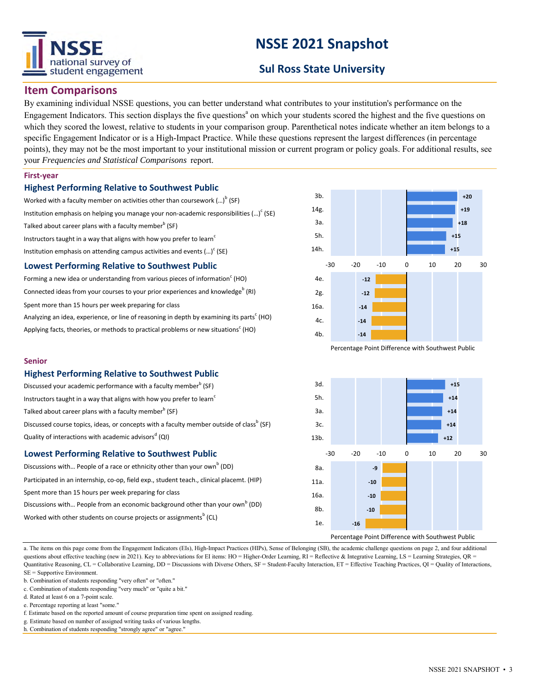

# **NSSE 2021 Snapshot**

# **Sul Ross State University**

## **Item Comparisons**

By examining individual NSSE questions, you can better understand what contributes to your institution's performance on the Engagement Indicators. This section displays the five questions<sup>a</sup> on which your students scored the highest and the five questions on which they scored the lowest, relative to students in your comparison group. Parenthetical notes indicate whether an item belongs to a specific Engagement Indicator or is a High-Impact Practice. While these questions represent the largest differences (in percentage points), they may not be the most important to your institutional mission or current program or policy goals. For additional results, see your *Frequencies and Statistical Comparisons* report.

#### **First-year**

#### **Highest Performing Relative to Southwest Public**

Worked with a faculty member on activities other than coursework  $(...)^{\mathsf{b}}$  (SF) Institution emphasis on helping you manage your non-academic responsibilities (...) $\text{c}$  (SE) Talked about career plans with a faculty member $^{\rm b}$  (SF) Instructors taught in a way that aligns with how you prefer to learn<sup>c</sup> Institution emphasis on attending campus activities and events  $(...)^c$  (SE)

#### **Lowest Performing Relative to Southwest Public**

| Forming a new idea or understanding from various pieces of information $\text{C}$ (HO)                |
|-------------------------------------------------------------------------------------------------------|
| Connected ideas from your courses to your prior experiences and knowledge <sup>b</sup> (RI)           |
| Spent more than 15 hours per week preparing for class                                                 |
| Analyzing an idea, experience, or line of reasoning in depth by examining its parts <sup>c</sup> (HO) |
| Applying facts, theories, or methods to practical problems or new situations <sup>c</sup> (HO)        |



Percentage Point Difference with Southwest Public



### **Highest Performing Relative to Southwest Public**

| Discussed your academic performance with a faculty member <sup>b</sup> (SF)                          |
|------------------------------------------------------------------------------------------------------|
| Instructors taught in a way that aligns with how you prefer to learn <sup>c</sup>                    |
| Talked about career plans with a faculty member <sup>b</sup> (SF)                                    |
| Discussed course topics, ideas, or concepts with a faculty member outside of class <sup>b</sup> (SF) |
| Quality of interactions with academic advisors <sup>d</sup> (QI)                                     |
|                                                                                                      |

#### **Lowest Performing Relative to Southwest Public**

| Discussions with People of a race or ethnicity other than your own <sup>b</sup> (DD)      |
|-------------------------------------------------------------------------------------------|
| Participated in an internship, co-op, field exp., student teach., clinical placemt. (HIP) |
| Spent more than 15 hours per week preparing for class                                     |
| Discussions with People from an economic background other than your own <sup>b</sup> (DD) |
| Worked with other students on course projects or assignments <sup>b</sup> (CL)            |
|                                                                                           |



a. The items on this page come from the Engagement Indicators (EIs), High-Impact Practices (HIPs), Sense of Belonging (SB), the academic challenge questions on page 2, and four additional questions about effective teaching (new in 2021). Key to abbreviations for EI items: HO = Higher-Order Learning, RI = Reflective & Integrative Learning, LS = Learning Strategies, QR = Quantitative Reasoning, CL = Collaborative Learning, DD = Discussions with Diverse Others, SF = Student-Faculty Interaction, ET = Effective Teaching Practices, QI = Quality of Interactions, SE = Supportive Environment.

- f. Estimate based on the reported amount of course preparation time spent on assigned reading.
- g. Estimate based on number of assigned writing tasks of various lengths.

b. Combination of students responding "very often" or "often."

c. Combination of students responding "very much" or "quite a bit."

d. Rated at least 6 on a 7-point scale.

e. Percentage reporting at least "some."